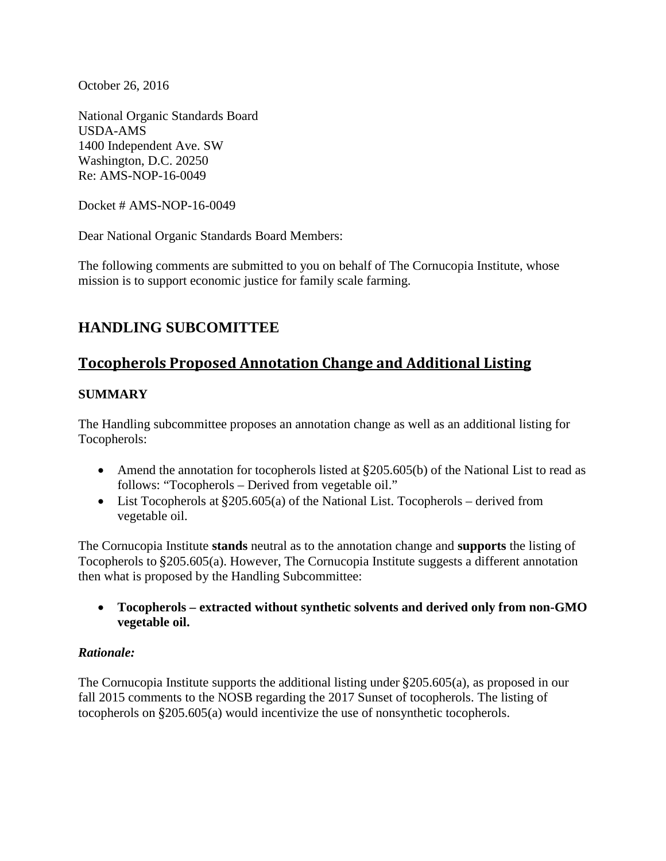October 26, 2016

National Organic Standards Board USDA-AMS 1400 Independent Ave. SW Washington, D.C. 20250 Re: AMS-NOP-16-0049

Docket # AMS-NOP-16-0049

Dear National Organic Standards Board Members:

The following comments are submitted to you on behalf of The Cornucopia Institute, whose mission is to support economic justice for family scale farming.

# **HANDLING SUBCOMITTEE**

# **Tocopherols Proposed Annotation Change and Additional Listing**

# **SUMMARY**

The Handling subcommittee proposes an annotation change as well as an additional listing for Tocopherols:

- Amend the annotation for tocopherols listed at  $\S205.605(b)$  of the National List to read as follows: "Tocopherols – Derived from vegetable oil."
- List Tocopherols at §205.605(a) of the National List. Tocopherols derived from vegetable oil.

The Cornucopia Institute **stands** neutral as to the annotation change and **supports** the listing of Tocopherols to §205.605(a). However, The Cornucopia Institute suggests a different annotation then what is proposed by the Handling Subcommittee:

• **Tocopherols – extracted without synthetic solvents and derived only from non-GMO vegetable oil.**

## *Rationale:*

The Cornucopia Institute supports the additional listing under §205.605(a), as proposed in our fall 2015 comments to the NOSB regarding the 2017 Sunset of tocopherols. The listing of tocopherols on §205.605(a) would incentivize the use of nonsynthetic tocopherols.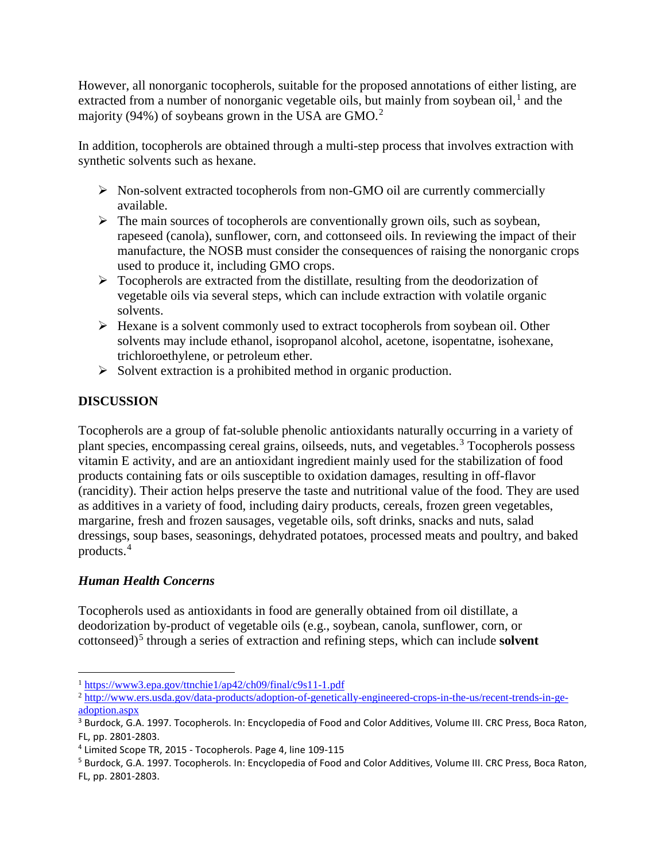However, all nonorganic tocopherols, suitable for the proposed annotations of either listing, are extracted from a number of nonorganic vegetable oils, but mainly from soybean oil, $<sup>1</sup>$  $<sup>1</sup>$  $<sup>1</sup>$  and the</sup> majority (94%) of soybeans grown in the USA are GMO.<sup>[2](#page-1-1)</sup>

In addition, tocopherols are obtained through a multi-step process that involves extraction with synthetic solvents such as hexane.

- $\triangleright$  Non-solvent extracted tocopherols from non-GMO oil are currently commercially available.
- $\triangleright$  The main sources of tocopherols are conventionally grown oils, such as soybean, rapeseed (canola), sunflower, corn, and cottonseed oils. In reviewing the impact of their manufacture, the NOSB must consider the consequences of raising the nonorganic crops used to produce it, including GMO crops.
- $\triangleright$  Tocopherols are extracted from the distillate, resulting from the deodorization of vegetable oils via several steps, which can include extraction with volatile organic solvents.
- $\triangleright$  Hexane is a solvent commonly used to extract tocopherols from soybean oil. Other solvents may include ethanol, isopropanol alcohol, acetone, isopentatne, isohexane, trichloroethylene, or petroleum ether.
- $\triangleright$  Solvent extraction is a prohibited method in organic production.

# **DISCUSSION**

Tocopherols are a group of fat-soluble phenolic antioxidants naturally occurring in a variety of plant species, encompassing cereal grains, oilseeds, nuts, and vegetables.[3](#page-1-2) Tocopherols possess vitamin E activity, and are an antioxidant ingredient mainly used for the stabilization of food products containing fats or oils susceptible to oxidation damages, resulting in off-flavor (rancidity). Their action helps preserve the taste and nutritional value of the food. They are used as additives in a variety of food, including dairy products, cereals, frozen green vegetables, margarine, fresh and frozen sausages, vegetable oils, soft drinks, snacks and nuts, salad dressings, soup bases, seasonings, dehydrated potatoes, processed meats and poultry, and baked products.[4](#page-1-3)

# *Human Health Concerns*

Tocopherols used as antioxidants in food are generally obtained from oil distillate, a deodorization by-product of vegetable oils (e.g., soybean, canola, sunflower, corn, or cottonseed)[5](#page-1-4) through a series of extraction and refining steps, which can include **solvent** 

<span id="page-1-0"></span> <sup>1</sup> <https://www3.epa.gov/ttnchie1/ap42/ch09/final/c9s11-1.pdf>

<span id="page-1-1"></span><sup>&</sup>lt;sup>2</sup> [http://www.ers.usda.gov/data-products/adoption-of-genetically-engineered-crops-in-the-us/recent-trends-in-ge](http://www.ers.usda.gov/data-products/adoption-of-genetically-engineered-crops-in-the-us/recent-trends-in-ge-adoption.aspx)[adoption.aspx](http://www.ers.usda.gov/data-products/adoption-of-genetically-engineered-crops-in-the-us/recent-trends-in-ge-adoption.aspx)

<span id="page-1-2"></span><sup>&</sup>lt;sup>3</sup> Burdock, G.A. 1997. Tocopherols. In: Encyclopedia of Food and Color Additives, Volume III. CRC Press, Boca Raton, FL, pp. 2801-2803.

<span id="page-1-3"></span><sup>4</sup> Limited Scope TR, 2015 - Tocopherols. Page 4, line 109-115

<span id="page-1-4"></span><sup>5</sup> Burdock, G.A. 1997. Tocopherols. In: Encyclopedia of Food and Color Additives, Volume III. CRC Press, Boca Raton, FL, pp. 2801-2803.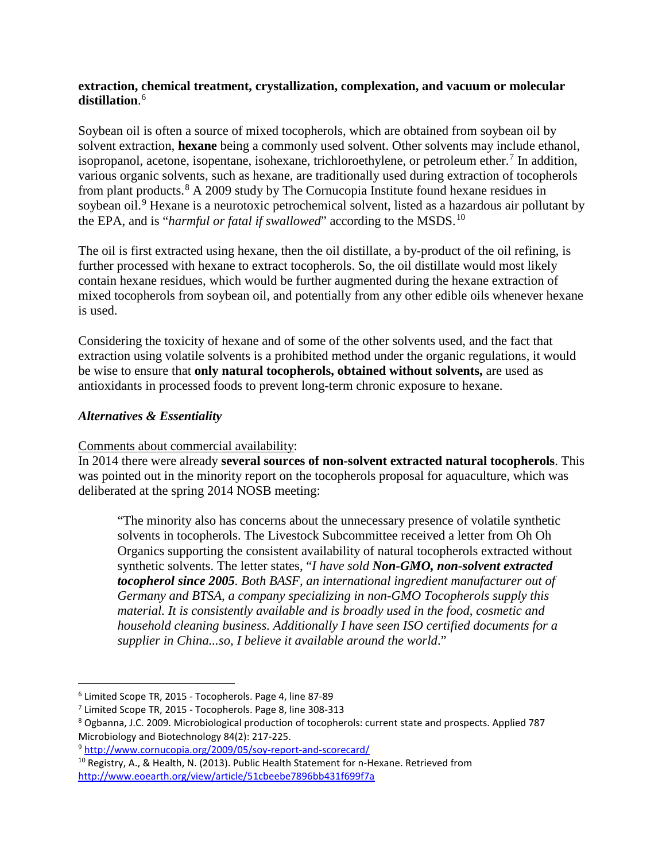#### **extraction, chemical treatment, crystallization, complexation, and vacuum or molecular distillation**. [6](#page-2-0)

Soybean oil is often a source of mixed tocopherols, which are obtained from soybean oil by solvent extraction, **hexane** being a commonly used solvent. Other solvents may include ethanol, isopropanol, acetone, isopentane, isohexane, trichloroethylene, or petroleum ether.<sup>[7](#page-2-1)</sup> In addition, various organic solvents, such as hexane, are traditionally used during extraction of tocopherols from plant products.[8](#page-2-2) A 2009 study by The Cornucopia Institute found hexane residues in soybean oil.<sup>[9](#page-2-3)</sup> Hexane is a neurotoxic petrochemical solvent, listed as a hazardous air pollutant by the EPA, and is "*harmful or fatal if swallowed*" according to the MSDS.<sup>[10](#page-2-4)</sup>

The oil is first extracted using hexane, then the oil distillate, a by-product of the oil refining, is further processed with hexane to extract tocopherols. So, the oil distillate would most likely contain hexane residues, which would be further augmented during the hexane extraction of mixed tocopherols from soybean oil, and potentially from any other edible oils whenever hexane is used.

Considering the toxicity of hexane and of some of the other solvents used, and the fact that extraction using volatile solvents is a prohibited method under the organic regulations, it would be wise to ensure that **only natural tocopherols, obtained without solvents,** are used as antioxidants in processed foods to prevent long-term chronic exposure to hexane.

## *Alternatives & Essentiality*

 $\overline{a}$ 

## Comments about commercial availability:

In 2014 there were already **several sources of non-solvent extracted natural tocopherols**. This was pointed out in the minority report on the tocopherols proposal for aquaculture, which was deliberated at the spring 2014 NOSB meeting:

"The minority also has concerns about the unnecessary presence of volatile synthetic solvents in tocopherols. The Livestock Subcommittee received a letter from Oh Oh Organics supporting the consistent availability of natural tocopherols extracted without synthetic solvents. The letter states, "*I have sold Non-GMO, non-solvent extracted tocopherol since 2005. Both BASF, an international ingredient manufacturer out of Germany and BTSA, a company specializing in non-GMO Tocopherols supply this material. It is consistently available and is broadly used in the food, cosmetic and household cleaning business. Additionally I have seen ISO certified documents for a supplier in China...so, I believe it available around the world*."

<span id="page-2-0"></span><sup>6</sup> Limited Scope TR, 2015 - Tocopherols. Page 4, line 87-89

<span id="page-2-1"></span><sup>7</sup> Limited Scope TR, 2015 - Tocopherols. Page 8, line 308-313

<span id="page-2-2"></span><sup>8</sup> Ogbanna, J.C. 2009. Microbiological production of tocopherols: current state and prospects. Applied 787 Microbiology and Biotechnology 84(2): 217-225.

<span id="page-2-3"></span><sup>9</sup> <http://www.cornucopia.org/2009/05/soy-report-and-scorecard/>

<span id="page-2-4"></span><sup>&</sup>lt;sup>10</sup> Registry, A., & Health, N. (2013). Public Health Statement for n-Hexane. Retrieved from <http://www.eoearth.org/view/article/51cbeebe7896bb431f699f7a>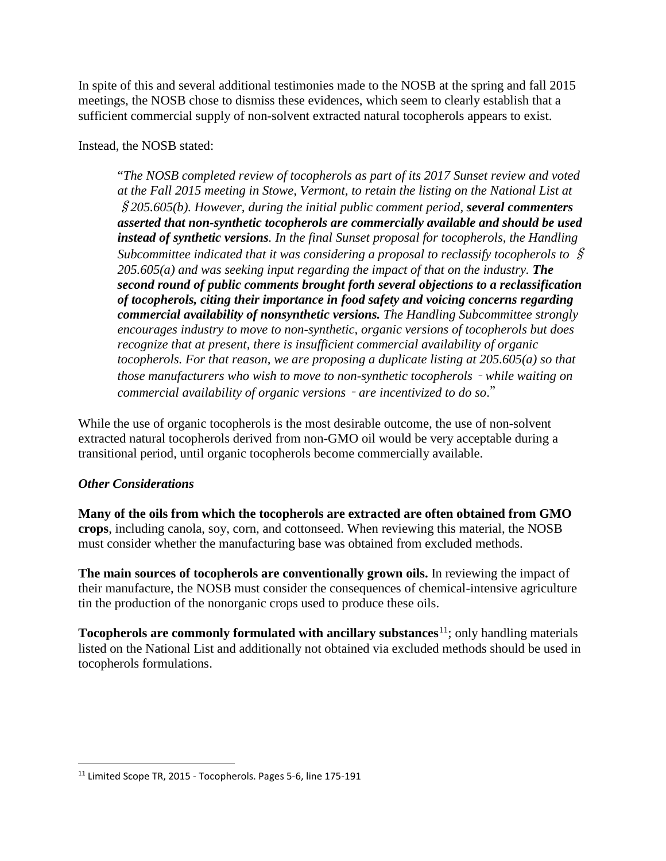In spite of this and several additional testimonies made to the NOSB at the spring and fall 2015 meetings, the NOSB chose to dismiss these evidences, which seem to clearly establish that a sufficient commercial supply of non-solvent extracted natural tocopherols appears to exist.

Instead, the NOSB stated:

"*The NOSB completed review of tocopherols as part of its 2017 Sunset review and voted at the Fall 2015 meeting in Stowe, Vermont, to retain the listing on the National List at*  §*205.605(b). However, during the initial public comment period, several commenters asserted that non-synthetic tocopherols are commercially available and should be used instead of synthetic versions. In the final Sunset proposal for tocopherols, the Handling Subcommittee indicated that it was considering a proposal to reclassify tocopherols to* § *205.605(a) and was seeking input regarding the impact of that on the industry. The second round of public comments brought forth several objections to a reclassification of tocopherols, citing their importance in food safety and voicing concerns regarding commercial availability of nonsynthetic versions. The Handling Subcommittee strongly encourages industry to move to non-synthetic, organic versions of tocopherols but does recognize that at present, there is insufficient commercial availability of organic tocopherols. For that reason, we are proposing a duplicate listing at 205.605(a) so that those manufacturers who wish to move to non-synthetic tocopherols* – *while waiting on commercial availability of organic versions* – *are incentivized to do so*."

While the use of organic tocopherols is the most desirable outcome, the use of non-solvent extracted natural tocopherols derived from non-GMO oil would be very acceptable during a transitional period, until organic tocopherols become commercially available.

## *Other Considerations*

 $\overline{a}$ 

**Many of the oils from which the tocopherols are extracted are often obtained from GMO crops**, including canola, soy, corn, and cottonseed. When reviewing this material, the NOSB must consider whether the manufacturing base was obtained from excluded methods.

**The main sources of tocopherols are conventionally grown oils.** In reviewing the impact of their manufacture, the NOSB must consider the consequences of chemical-intensive agriculture tin the production of the nonorganic crops used to produce these oils.

**Tocopherols are commonly formulated with ancillary substances<sup>[11](#page-3-0)</sup>; only handling materials** listed on the National List and additionally not obtained via excluded methods should be used in tocopherols formulations.

<span id="page-3-0"></span><sup>&</sup>lt;sup>11</sup> Limited Scope TR, 2015 - Tocopherols. Pages 5-6, line 175-191